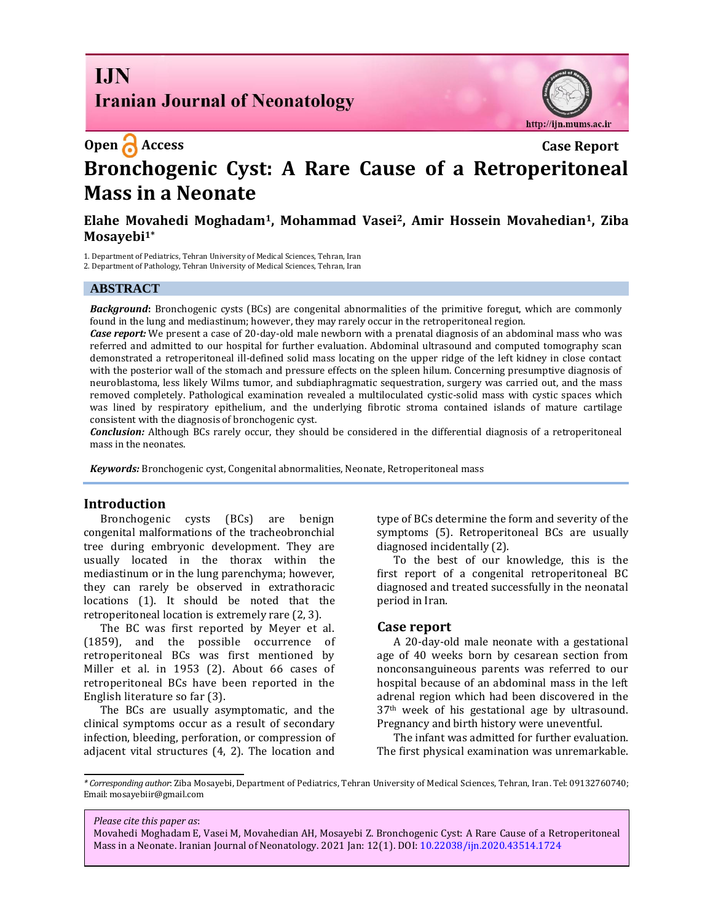**I.IN Iranian Journal of Neonatology** 



### **Open Access Case Report**

# **Bronchogenic Cyst: A Rare Cause of a Retroperitoneal Mass in a Neonate**

#### **Elahe Movahedi Moghadam1, Mohammad Vasei2, Amir Hossein Movahedian1, Ziba Mosayebi1\***

1. Department of Pediatrics, Tehran University of Medical Sciences, Tehran, Iran

2. Department of Pathology, Tehran University of Medical Sciences, Tehran, Iran

#### **ABSTRACT**

*Background***:** Bronchogenic cysts (BCs) are congenital abnormalities of the primitive foregut, which are commonly found in the lung and mediastinum; however, they may rarely occur in the retroperitoneal region.

*Case report:* We present a case of 20-day-old male newborn with a prenatal diagnosis of an abdominal mass who was referred and admitted to our hospital for further evaluation. Abdominal ultrasound and computed tomography scan demonstrated a retroperitoneal ill-defined solid mass locating on the upper ridge of the left kidney in close contact with the posterior wall of the stomach and pressure effects on the spleen hilum. Concerning presumptive diagnosis of neuroblastoma, less likely Wilms tumor, and subdiaphragmatic sequestration, surgery was carried out, and the mass removed completely. Pathological examination revealed a multiloculated cystic-solid mass with cystic spaces which was lined by respiratory epithelium, and the underlying fibrotic stroma contained islands of mature cartilage consistent with the diagnosis of bronchogenic cyst.

*Conclusion:* Although BCs rarely occur, they should be considered in the differential diagnosis of a retroperitoneal mass in the neonates.

*Keywords:* Bronchogenic cyst, Congenital abnormalities, Neonate, Retroperitoneal mass

#### **Introduction**

Bronchogenic cysts (BCs) are benign congenital malformations of the tracheobronchial tree during embryonic development. They are usually located in the thorax within the mediastinum or in the lung parenchyma; however, they can rarely be observed in extrathoracic locations (1). It should be noted that the retroperitoneal location is extremely rare (2, 3).

The BC was first reported by Meyer et al. (1859), and the possible occurrence of retroperitoneal BCs was first mentioned by Miller et al. in 1953 (2). About 66 cases of retroperitoneal BCs have been reported in the English literature so far (3).

The BCs are usually asymptomatic, and the clinical symptoms occur as a result of secondary infection, bleeding, perforation, or compression of adjacent vital structures (4, 2). The location and type of BCs determine the form and severity of the symptoms (5). Retroperitoneal BCs are usually diagnosed incidentally (2).

To the best of our knowledge, this is the first report of a congenital retroperitoneal BC diagnosed and treated successfully in the neonatal period in Iran.

#### **Case report**

A 20-day-old male neonate with a gestational age of 40 weeks born by cesarean section from nonconsanguineous parents was referred to our hospital because of an abdominal mass in the left adrenal region which had been discovered in the 37th week of his gestational age by ultrasound. Pregnancy and birth history were uneventful.

The infant was admitted for further evaluation. The first physical examination was unremarkable.

*Please cite this paper as*:

*<sup>\*</sup> Corresponding author*: Ziba Mosayebi, Department of Pediatrics, Tehran University of Medical Sciences, Tehran, Iran. Tel: 09132760740; Email: mosayebiir@gmail.com

Movahedi Moghadam E, Vasei M, Movahedian AH, Mosayebi Z. Bronchogenic Cyst: A Rare Cause of a Retroperitoneal Mass in a Neonate. Iranian Journal of Neonatology. 2021 Jan: 12(1). DOI[: 10.22038/ijn.2020.43514.1724](https://ijn.mums.ac.ir/)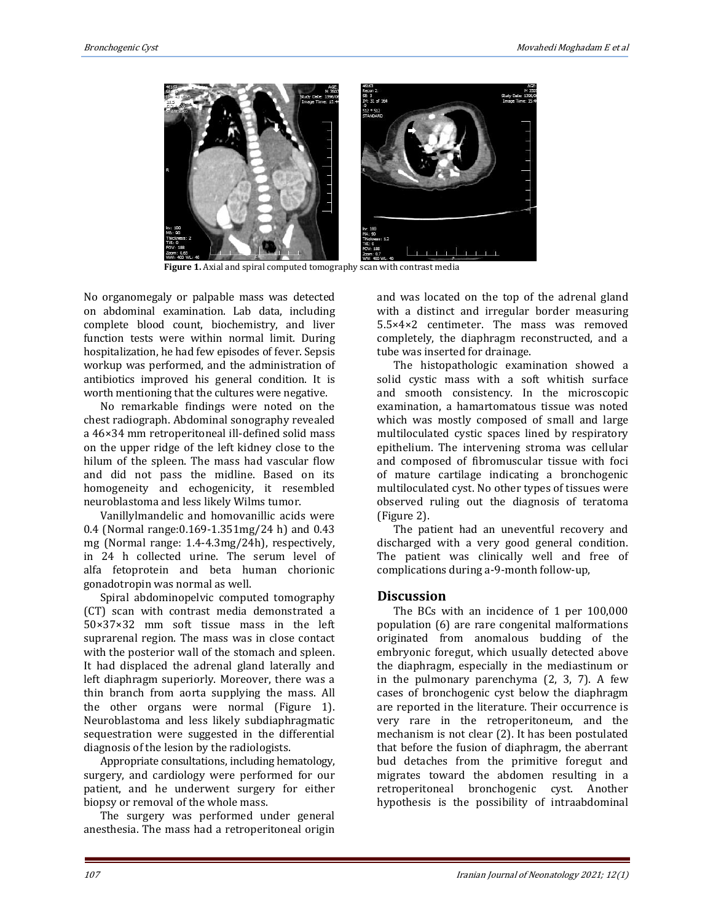

Figure 1. Axial and spiral computed tomography scan with contrast media

No organomegaly or palpable mass was detected on abdominal examination. Lab data, including complete blood count, biochemistry, and liver function tests were within normal limit. During hospitalization, he had few episodes of fever. Sepsis workup was performed, and the administration of antibiotics improved his general condition. It is worth mentioning that the cultures were negative.

No remarkable findings were noted on the chest radiograph. Abdominal sonography revealed a 46×34 mm retroperitoneal ill-defined solid mass on the upper ridge of the left kidney close to the hilum of the spleen. The mass had vascular flow and did not pass the midline. Based on its homogeneity and echogenicity, it resembled neuroblastoma and less likely Wilms tumor.

Vanillylmandelic and homovanillic acids were 0.4 (Normal range:0.169-1.351mg/24 h) and 0.43 mg (Normal range: 1.4-4.3mg/24h), respectively, in 24 h collected urine. The serum level of alfa fetoprotein and beta human chorionic gonadotropin was normal as well.

Spiral abdominopelvic computed tomography (CT) scan with contrast media demonstrated a 50×37×32 mm soft tissue mass in the left suprarenal region. The mass was in close contact with the posterior wall of the stomach and spleen. It had displaced the adrenal gland laterally and left diaphragm superiorly. Moreover, there was a thin branch from aorta supplying the mass. All the other organs were normal (Figure 1). Neuroblastoma and less likely subdiaphragmatic sequestration were suggested in the differential diagnosis of the lesion by the radiologists.

Appropriate consultations, including hematology, surgery, and cardiology were performed for our patient, and he underwent surgery for either biopsy or removal of the whole mass.

The surgery was performed under general anesthesia. The mass had a retroperitoneal origin and was located on the top of the adrenal gland with a distinct and irregular border measuring 5.5×4×2 centimeter. The mass was removed completely, the diaphragm reconstructed, and a tube was inserted for drainage.

The histopathologic examination showed a solid cystic mass with a soft whitish surface and smooth consistency. In the microscopic examination, a hamartomatous tissue was noted which was mostly composed of small and large multiloculated cystic spaces lined by respiratory epithelium. The intervening stroma was cellular and composed of fibromuscular tissue with foci of mature cartilage indicating a bronchogenic multiloculated cyst. No other types of tissues were observed ruling out the diagnosis of teratoma (Figure 2).

The patient had an uneventful recovery and discharged with a very good general condition. The patient was clinically well and free of complications during a-9-month follow-up,

#### **Discussion**

The BCs with an incidence of 1 per 100,000 population (6) are rare congenital malformations originated from anomalous budding of the embryonic foregut, which usually detected above the diaphragm, especially in the mediastinum or in the pulmonary parenchyma [\(2,](#page-3-0) 3, 7). A few cases of bronchogenic cyst below the diaphragm are reported in the literature. Their occurrence is very rare in the retroperitoneum, and the mechanism is not clear (2). It has been postulated that before the fusion of diaphragm, the aberrant bud detaches from the primitive foregut and migrates toward the abdomen resulting in a retroperitoneal bronchogenic cyst. Another hypothesis is the possibility of intraabdominal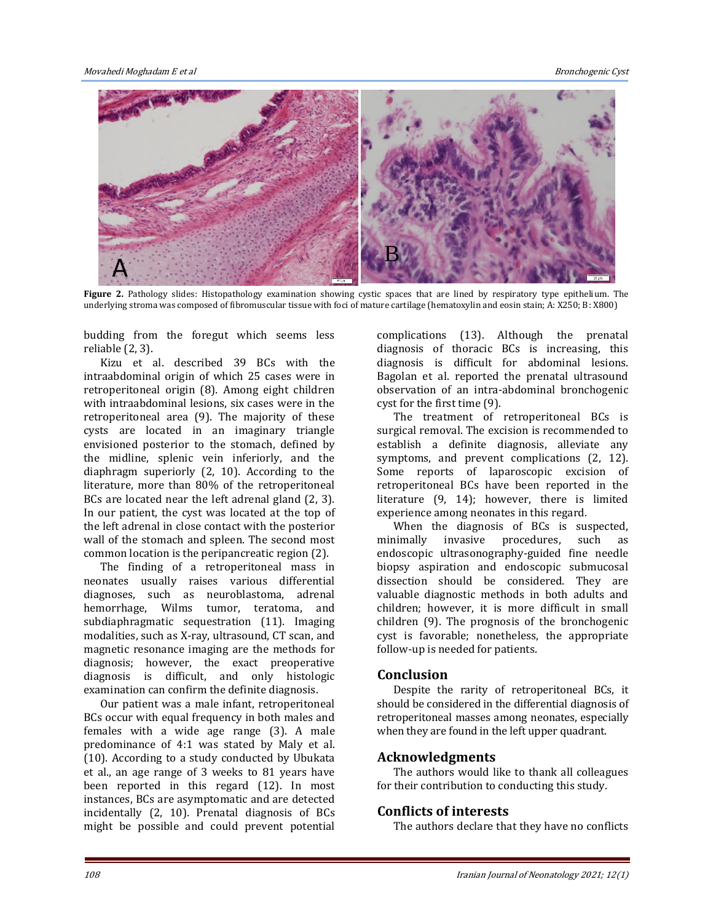

**Figure 2.** Pathology slides: Histopathology examination showing cystic spaces that are lined by respiratory type epithelium. The underlying stroma was composed of fibromuscular tissue with foci of mature cartilage (hemato Experience 2. Fathology sinces. This opathology examination showing eystic spaces that are lined by respiratory type epithelium. The underlying stroma was composed of fibromuscular tissue with foci of mature cartilage (hem

budding from the foregut which seems less pudding from<br>reliable (2, 3).

Kizu et al. described 39 BCs with the intraabdominal origin of which 25 cases were in intraabdominal origin of which 25 cases were in<br>retroperitoneal origin (8). Among eight children with intraabdominal lesions, six cases were in the retroperitoneal area (9). The majority of these retroperitoneal area (9). The majority of these<br>cysts are located in an imaginary triangle envisioned posterior to the stomach, defined by the midline, splenic vein inferiorly, and the diaphragm superiorly (2, 10). According to the literature, more than 80% of the retroperitoneal BCs are located near the left adrenal gland (2, 3). In our patient, the cyst was located at the top of the left adrenal in close contact with the posterior<br>wall of the stomach and spleen. The second most<br>common location is the peripancreatic region (2) wall of the stomach and spleen. The second most common location is the peripancreatic region (2). nid<br>rag<br>ur

The finding of a retroperitoneal mass in neonates usually raises various differential diagnoses, such as neuroblastoma, adrenal hemorrhage, Wilms tumor, teratoma, and subdiaphragmatic sequestration (11). Imaging modalities, such as X-ray, ultrasound, CT scan, and magnetic resonance imaging are the methods for modalities, such as X-ray, ultrasound, CT scan, and<br>magnetic resonance imaging are the methods for<br>diagnosis; however, the exact preoperative diagnosis is difficult, and only histologic examination can confirm the definite diagnosis. ates<br>ose:<br>rrh:

Our patient was a male infant, retroperitoneal Examination can commit the definite diagnosis.<br>
BCs occur with equal frequency in both males and<br>
females with a wide age range (3) A male females with a wide age range (3). A male predominance of 4:1 was stated by Maly et al. (10). According to a study conducted by Ubukata<br>et al., an age range of 3 weeks to 81 years have<br>been reported in this regard (12). In most et al., an age range of 3 weeks to 81 years have been reported in this regard (12). In most instances, BCs are asymptomatic and are detected incidentally (2, 10). Prenatal diagnosis of BCs might be possible and could prevent potential nta:<br>b

complications (13). Although the prenatal diagnosis of thoracic BCs is increasing, this diagnosis is difficult for abdominal lesions. Bagolan et al. reported the prenatal ultrasound observation of an intra-abdominal bronchogenic cyst for the first time (9). liagr<br>ago<br>bse

The treatment of retroperitoneal BCs is surgical removal. The excision is recommended to surgical removal. The excision is recommended to<br>establish a definite diagnosis, alleviate any<br>symptoms, and prevent complications (2, 12). symptoms, and prevent complications (2, 12). Some reports of laparoscopic excision of retroperitoneal BCs have been reported in the literature (9, 14); however, there is limited

experience among neonates in this regard.<br>
When the diagnosis of BCs is su<br>
minimally invasive procedures, su When the diagnosis of BCs is suspected, minimally invasive procedures, such as endoscopic ultrasonography-guided fine needle biopsy aspiration and endoscopic submucosal dissection should be considered. They are valuable diagnostic methods in both adults and children; however, it is more difficult in small children (9). The prognosis of the bronchogenic cyst is favorable; nonetheless, the appropriate follow-up is needed for patients. lisse<br><sup>'alua</sup><br>'hild

# tollow-up is ne<br>**Conclusion**

Despite the rarity of retroperitoneal BCs, it should be considered in the differential diagnosis of retroperitoneal masses among neonates, especially recopernoned masses along heolates, espectively when they are found in the left upper quadrant.<br>Acknowledgments

#### **Acknowledgments**

The authors would like to thank all colleagues for their contribution to conducting this study.

## **Conflicts of interests** ion<br>T

The authors declare that they have no conflicts